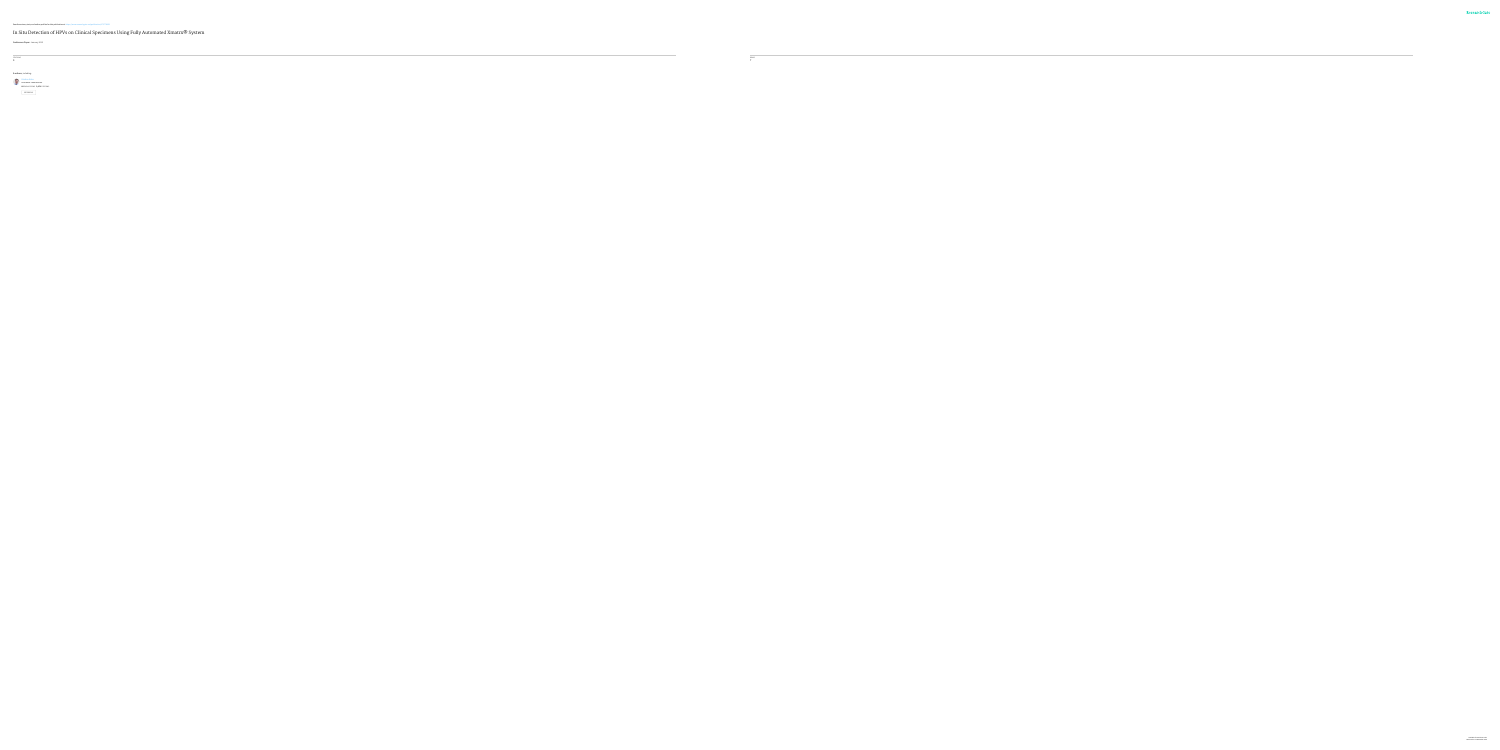See discussions, stats, and author profiles for this publication at: [https://www.researchgate.net/publication/273776582](https://www.researchgate.net/publication/273776582_In_Situ_Detection_of_HPVs_on_Clinical_Specimens_Using_Fully_Automated_XmatrxR_System?enrichId=rgreq-e7484612ceb269a7dfe448d5725c1ed1-XXX&enrichSource=Y292ZXJQYWdlOzI3Mzc3NjU4MjtBUzoyMDk0MTI1NTI2OTU4MTVAMTQyNjkzOTI1MTk3NA%3D%3D&el=1_x_2)

In Situ Detection of HPVs on Clinical Specimens Using Fully [Automated](https://www.researchgate.net/publication/273776582_In_Situ_Detection_of_HPVs_on_Clinical_Specimens_Using_Fully_Automated_XmatrxR_System?enrichId=rgreq-e7484612ceb269a7dfe448d5725c1ed1-XXX&enrichSource=Y292ZXJQYWdlOzI3Mzc3NjU4MjtBUzoyMDk0MTI1NTI2OTU4MTVAMTQyNjkzOTI1MTk3NA%3D%3D&el=1_x_3) Xmatrx® System

**Conference Paper** · January 2012

CITATIONS

0

READS

7